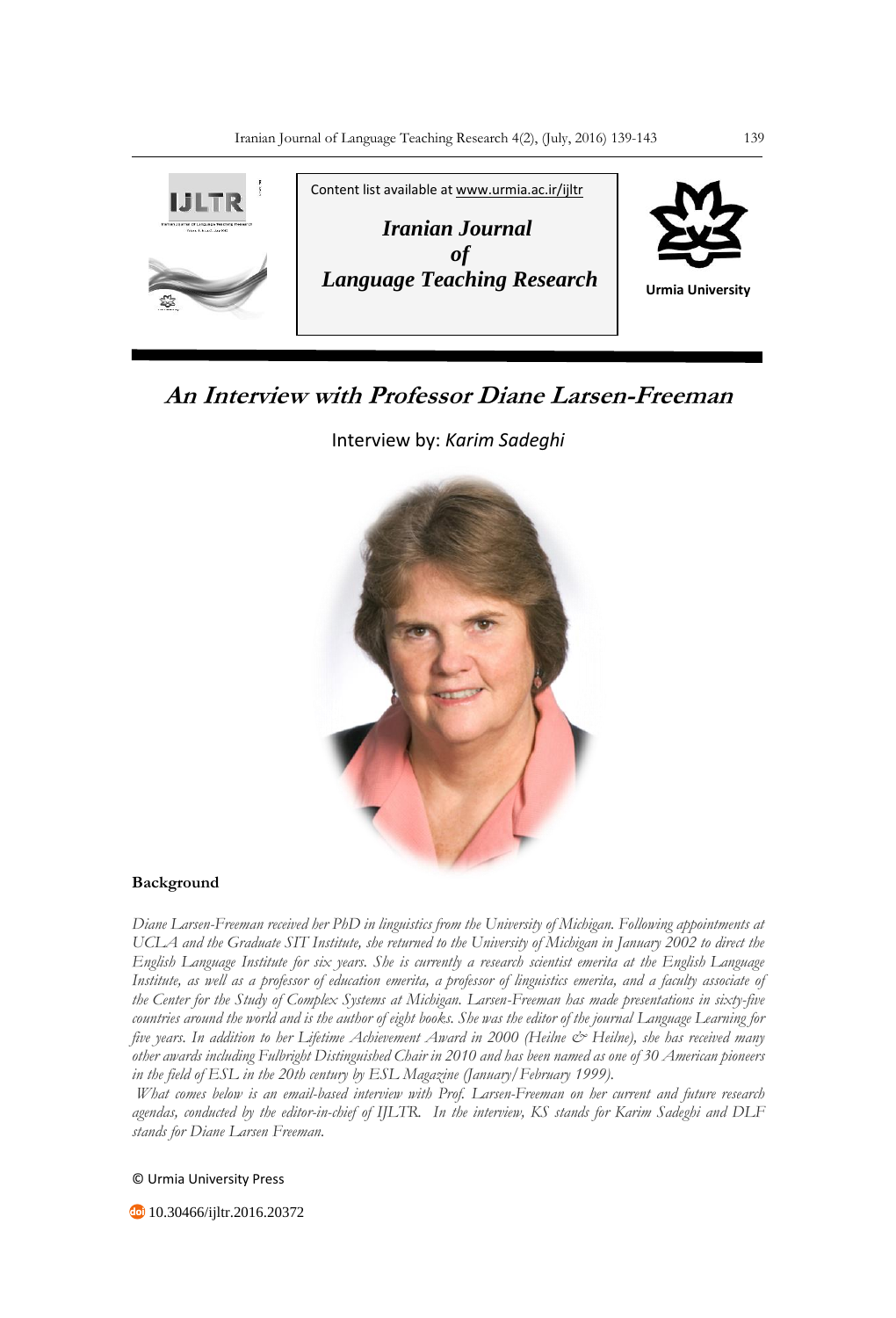

# **An Interview with Professor Diane Larsen-Freeman**

Interview by: *Karim Sadeghi*



## **Background**

*Diane Larsen-Freeman received her PhD in linguistics from the University of Michigan. Following appointments at UCLA and the Graduate SIT Institute, she returned to the University of Michigan in January 2002 to direct the English Language Institute for six years. She is currently a research scientist emerita at the English Language Institute, as well as a professor of education emerita, a professor of linguistics emerita, and a faculty associate of the Center for the Study of Complex Systems at Michigan. Larsen-Freeman has made presentations in sixty-five countries around the world and is the author of eight books. She was the editor of the journal Language Learning for five years. In addition to her Lifetime Achievement Award in 2000 (Heilne & Heilne), she has received many other awards including Fulbright Distinguished Chair in 2010 and has been named as one of 30 American pioneers in the field of ESL in the 20th century by ESL Magazine (January/February 1999).*

*What comes below is an email-based interview with Prof. Larsen-Freeman on her current and future research agendas, conducted by the editor-in-chief of IJLTR. In the interview, KS stands for Karim Sadeghi and DLF stands for Diane Larsen Freeman.*

© Urmia University Press

**10.30466/ijltr.2016.20372**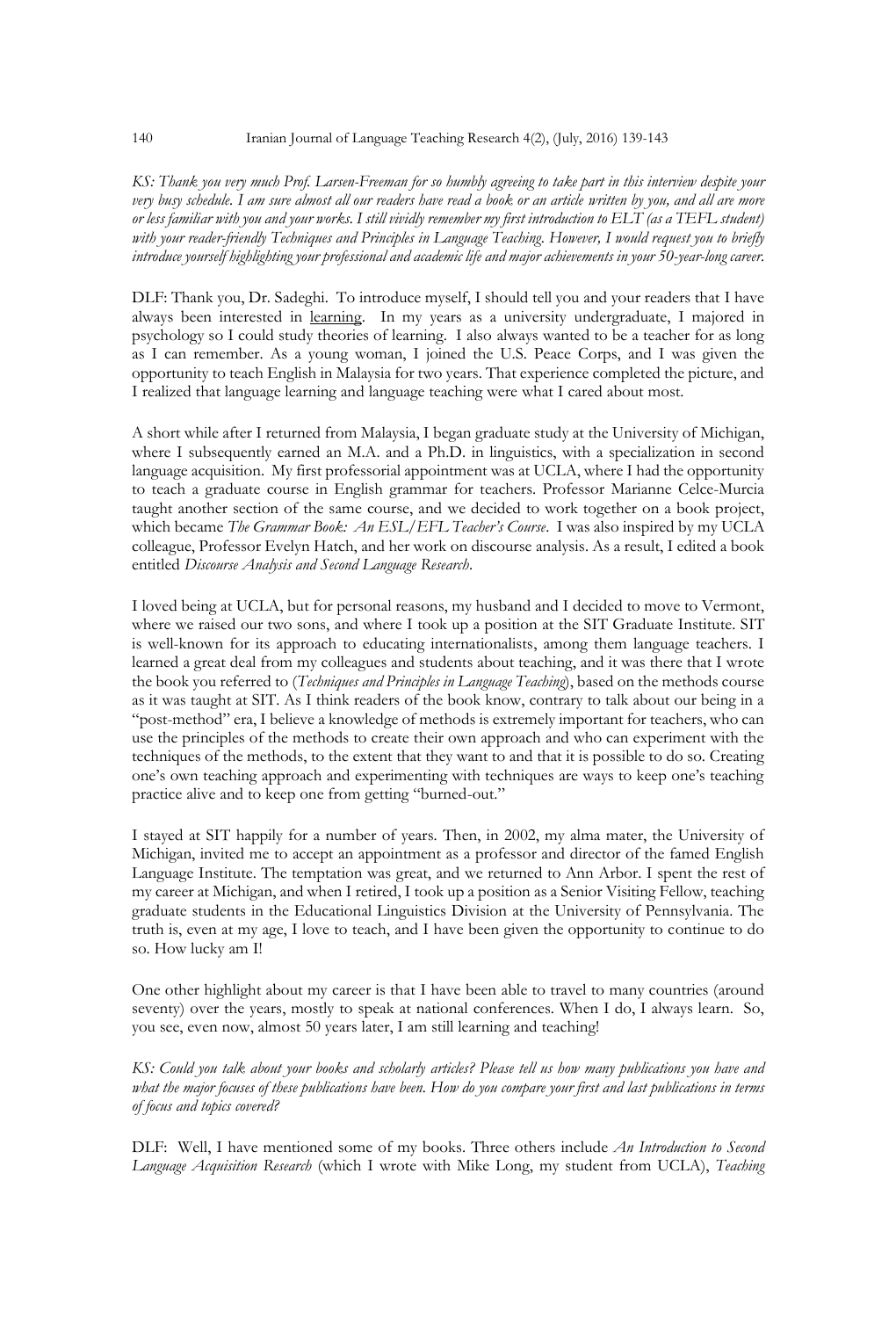*KS: Thank you very much Prof. Larsen-Freeman for so humbly agreeing to take part in this interview despite your very busy schedule. I am sure almost all our readers have read a book or an article written by you, and all are more or less familiar with you and your works. I still vividly remember my first introduction to ELT (as a TEFL student) with your reader-friendly Techniques and Principles in Language Teaching. However, I would request you to briefly introduce yourself highlighting your professional and academic life and major achievements in your 50-year-long career.* 

DLF: Thank you, Dr. Sadeghi. To introduce myself, I should tell you and your readers that I have always been interested in learning. In my years as a university undergraduate, I majored in psychology so I could study theories of learning. I also always wanted to be a teacher for as long as I can remember. As a young woman, I joined the U.S. Peace Corps, and I was given the opportunity to teach English in Malaysia for two years. That experience completed the picture, and I realized that language learning and language teaching were what I cared about most.

A short while after I returned from Malaysia, I began graduate study at the University of Michigan, where I subsequently earned an M.A. and a Ph.D. in linguistics, with a specialization in second language acquisition. My first professorial appointment was at UCLA, where I had the opportunity to teach a graduate course in English grammar for teachers. Professor Marianne Celce-Murcia taught another section of the same course, and we decided to work together on a book project, which became *The Grammar Book: An ESL/EFL Teacher's Course*. I was also inspired by my UCLA colleague, Professor Evelyn Hatch, and her work on discourse analysis. As a result, I edited a book entitled *Discourse Analysis and Second Language Research*.

I loved being at UCLA, but for personal reasons, my husband and I decided to move to Vermont, where we raised our two sons, and where I took up a position at the SIT Graduate Institute. SIT is well-known for its approach to educating internationalists, among them language teachers. I learned a great deal from my colleagues and students about teaching, and it was there that I wrote the book you referred to (*Techniques and Principles in Language Teaching*), based on the methods course as it was taught at SIT. As I think readers of the book know, contrary to talk about our being in a "post-method" era, I believe a knowledge of methods is extremely important for teachers, who can use the principles of the methods to create their own approach and who can experiment with the techniques of the methods, to the extent that they want to and that it is possible to do so. Creating one's own teaching approach and experimenting with techniques are ways to keep one's teaching practice alive and to keep one from getting "burned-out."

I stayed at SIT happily for a number of years. Then, in 2002, my alma mater, the University of Michigan, invited me to accept an appointment as a professor and director of the famed English Language Institute. The temptation was great, and we returned to Ann Arbor. I spent the rest of my career at Michigan, and when I retired, I took up a position as a Senior Visiting Fellow, teaching graduate students in the Educational Linguistics Division at the University of Pennsylvania. The truth is, even at my age, I love to teach, and I have been given the opportunity to continue to do so. How lucky am I!

One other highlight about my career is that I have been able to travel to many countries (around seventy) over the years, mostly to speak at national conferences. When I do, I always learn. So, you see, even now, almost 50 years later, I am still learning and teaching!

*KS: Could you talk about your books and scholarly articles? Please tell us how many publications you have and what the major focuses of these publications have been. How do you compare your first and last publications in terms of focus and topics covered?*

DLF: Well, I have mentioned some of my books. Three others include *An Introduction to Second Language Acquisition Research* (which I wrote with Mike Long, my student from UCLA), *Teaching*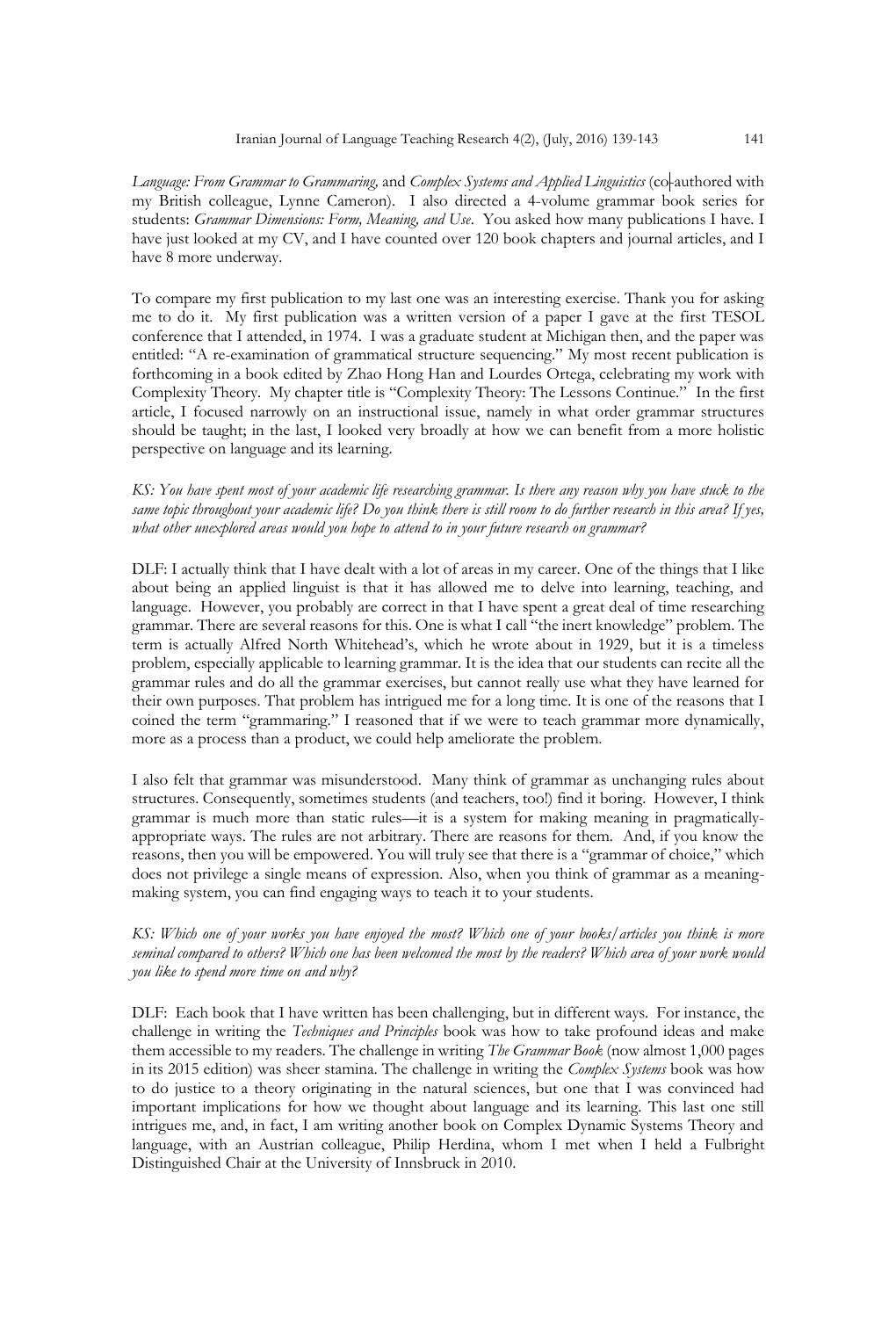*Language: From Grammar to Grammaring,* and *Complex Systems and Applied Linguistics* (co-authored with my British colleague, Lynne Cameron). I also directed a 4-volume grammar book series for students: *Grammar Dimensions: Form, Meaning, and Use*. You asked how many publications I have. I have just looked at my CV, and I have counted over 120 book chapters and journal articles, and I have 8 more underway.

To compare my first publication to my last one was an interesting exercise. Thank you for asking me to do it. My first publication was a written version of a paper I gave at the first TESOL conference that I attended, in 1974. I was a graduate student at Michigan then, and the paper was entitled: "A re-examination of grammatical structure sequencing." My most recent publication is forthcoming in a book edited by Zhao Hong Han and Lourdes Ortega, celebrating my work with Complexity Theory. My chapter title is "Complexity Theory: The Lessons Continue." In the first article, I focused narrowly on an instructional issue, namely in what order grammar structures should be taught; in the last, I looked very broadly at how we can benefit from a more holistic perspective on language and its learning.

## *KS: You have spent most of your academic life researching grammar. Is there any reason why you have stuck to the same topic throughout your academic life? Do you think there is still room to do further research in this area? If yes, what other unexplored areas would you hope to attend to in your future research on grammar?*

DLF: I actually think that I have dealt with a lot of areas in my career. One of the things that I like about being an applied linguist is that it has allowed me to delve into learning, teaching, and language. However, you probably are correct in that I have spent a great deal of time researching grammar. There are several reasons for this. One is what I call "the inert knowledge" problem. The term is actually Alfred North Whitehead's, which he wrote about in 1929, but it is a timeless problem, especially applicable to learning grammar. It is the idea that our students can recite all the grammar rules and do all the grammar exercises, but cannot really use what they have learned for their own purposes. That problem has intrigued me for a long time. It is one of the reasons that I coined the term "grammaring." I reasoned that if we were to teach grammar more dynamically, more as a process than a product, we could help ameliorate the problem.

I also felt that grammar was misunderstood. Many think of grammar as unchanging rules about structures. Consequently, sometimes students (and teachers, too!) find it boring. However, I think grammar is much more than static rules—it is a system for making meaning in pragmaticallyappropriate ways. The rules are not arbitrary. There are reasons for them. And, if you know the reasons, then you will be empowered. You will truly see that there is a "grammar of choice," which does not privilege a single means of expression. Also, when you think of grammar as a meaningmaking system, you can find engaging ways to teach it to your students.

## *KS: Which one of your works you have enjoyed the most? Which one of your books/articles you think is more seminal compared to others? Which one has been welcomed the most by the readers? Which area of your work would you like to spend more time on and why?*

DLF: Each book that I have written has been challenging, but in different ways. For instance, the challenge in writing the *Techniques and Principles* book was how to take profound ideas and make them accessible to my readers. The challenge in writing *The Grammar Book* (now almost 1,000 pages in its 2015 edition) was sheer stamina. The challenge in writing the *Complex Systems* book was how to do justice to a theory originating in the natural sciences, but one that I was convinced had important implications for how we thought about language and its learning. This last one still intrigues me, and, in fact, I am writing another book on Complex Dynamic Systems Theory and language, with an Austrian colleague, Philip Herdina, whom I met when I held a Fulbright Distinguished Chair at the University of Innsbruck in 2010.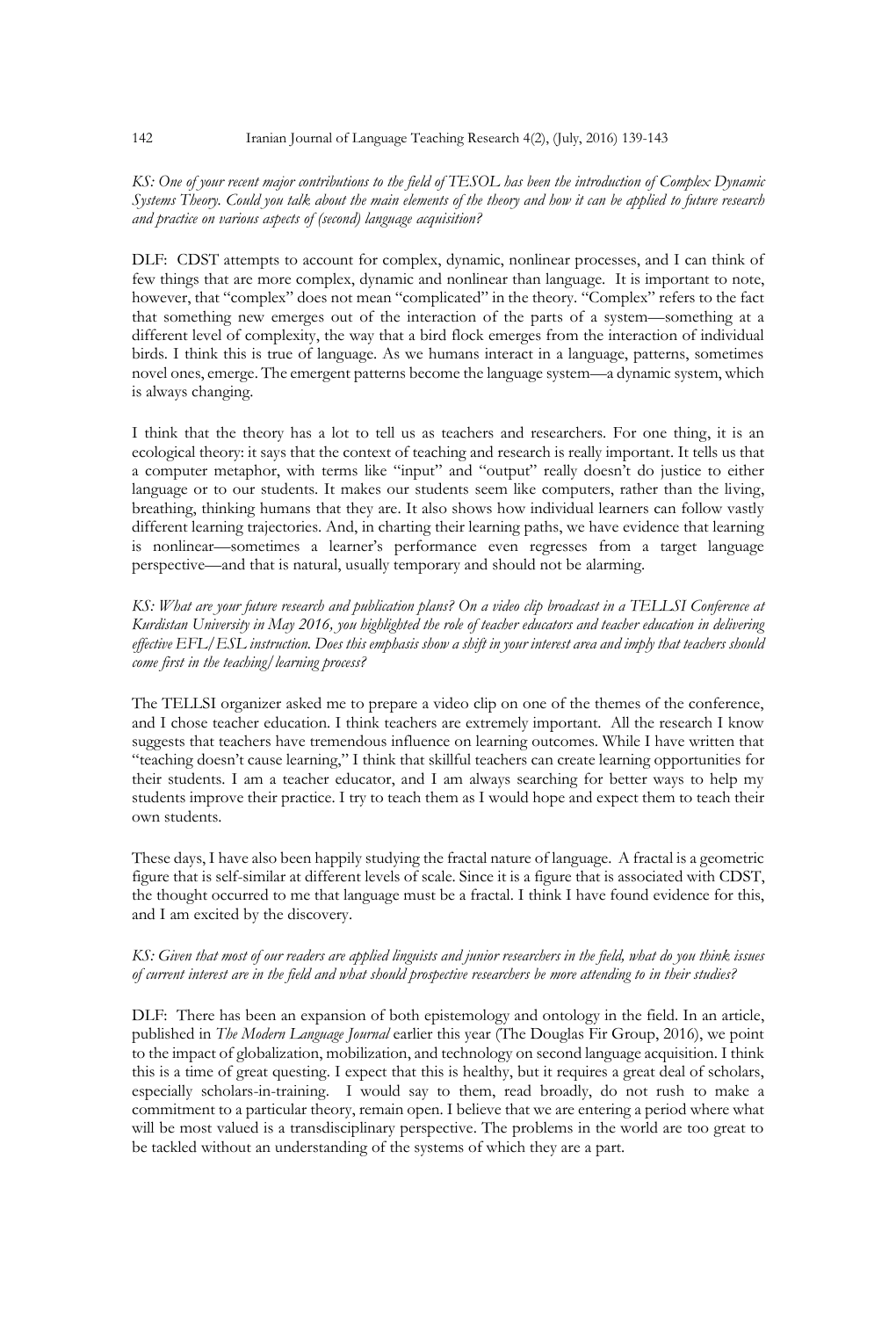#### 142 Iranian Journal of Language Teaching Research 4(2), (July, 2016) 139-143

## *KS: One of your recent major contributions to the field of TESOL has been the introduction of Complex Dynamic Systems Theory. Could you talk about the main elements of the theory and how it can be applied to future research and practice on various aspects of (second) language acquisition?*

DLF: CDST attempts to account for complex, dynamic, nonlinear processes, and I can think of few things that are more complex, dynamic and nonlinear than language. It is important to note, however, that "complex" does not mean "complicated" in the theory. "Complex" refers to the fact that something new emerges out of the interaction of the parts of a system—something at a different level of complexity, the way that a bird flock emerges from the interaction of individual birds. I think this is true of language. As we humans interact in a language, patterns, sometimes novel ones, emerge. The emergent patterns become the language system—a dynamic system, which is always changing.

I think that the theory has a lot to tell us as teachers and researchers. For one thing, it is an ecological theory: it says that the context of teaching and research is really important. It tells us that a computer metaphor, with terms like "input" and "output" really doesn't do justice to either language or to our students. It makes our students seem like computers, rather than the living, breathing, thinking humans that they are. It also shows how individual learners can follow vastly different learning trajectories. And, in charting their learning paths, we have evidence that learning is nonlinear—sometimes a learner's performance even regresses from a target language perspective—and that is natural, usually temporary and should not be alarming.

*KS: What are your future research and publication plans? On a video clip broadcast in a TELLSI Conference at Kurdistan University in May 2016, you highlighted the role of teacher educators and teacher education in delivering effective EFL/ESL instruction. Does this emphasis show a shift in your interest area and imply that teachers should come first in the teaching/learning process?*

The TELLSI organizer asked me to prepare a video clip on one of the themes of the conference, and I chose teacher education. I think teachers are extremely important. All the research I know suggests that teachers have tremendous influence on learning outcomes. While I have written that "teaching doesn't cause learning," I think that skillful teachers can create learning opportunities for their students. I am a teacher educator, and I am always searching for better ways to help my students improve their practice. I try to teach them as I would hope and expect them to teach their own students.

These days, I have also been happily studying the fractal nature of language. A fractal is a geometric figure that is self-similar at different levels of scale. Since it is a figure that is associated with CDST, the thought occurred to me that language must be a fractal. I think I have found evidence for this, and I am excited by the discovery.

## *KS: Given that most of our readers are applied linguists and junior researchers in the field, what do you think issues of current interest are in the field and what should prospective researchers be more attending to in their studies?*

DLF: There has been an expansion of both epistemology and ontology in the field. In an article, published in *The Modern Language Journal* earlier this year (The Douglas Fir Group, 2016), we point to the impact of globalization, mobilization, and technology on second language acquisition. I think this is a time of great questing. I expect that this is healthy, but it requires a great deal of scholars, especially scholars-in-training. I would say to them, read broadly, do not rush to make a commitment to a particular theory, remain open. I believe that we are entering a period where what will be most valued is a transdisciplinary perspective. The problems in the world are too great to be tackled without an understanding of the systems of which they are a part.